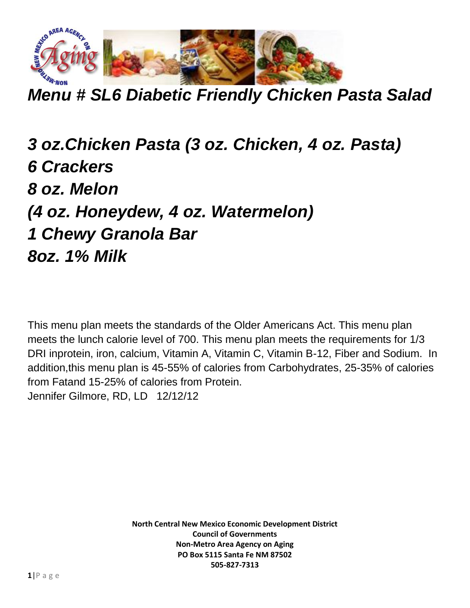

*Menu # SL6 Diabetic Friendly Chicken Pasta Salad*

*3 oz.Chicken Pasta (3 oz. Chicken, 4 oz. Pasta) 6 Crackers 8 oz. Melon (4 oz. Honeydew, 4 oz. Watermelon) 1 Chewy Granola Bar 8oz. 1% Milk*

This menu plan meets the standards of the Older Americans Act. This menu plan meets the lunch calorie level of 700. This menu plan meets the requirements for 1/3 DRI inprotein, iron, calcium, Vitamin A, Vitamin C, Vitamin B-12, Fiber and Sodium. In addition,this menu plan is 45-55% of calories from Carbohydrates, 25-35% of calories from Fatand 15-25% of calories from Protein. Jennifer Gilmore, RD, LD 12/12/12

> **North Central New Mexico Economic Development District Council of Governments Non-Metro Area Agency on Aging PO Box 5115 Santa Fe NM 87502 505-827-7313**